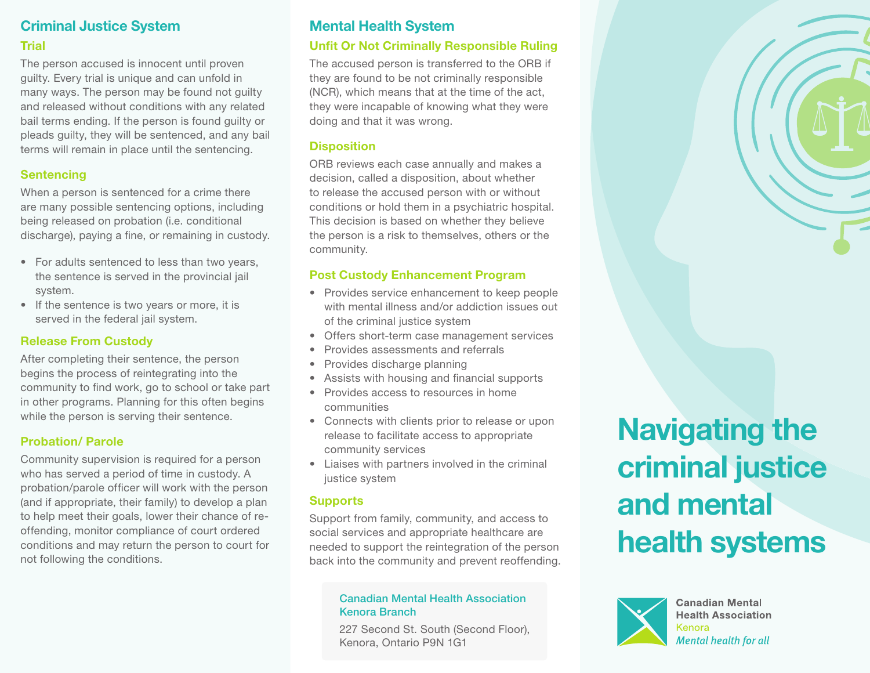# Criminal Justice System Trial

The person accused is innocent until proven guilty. Every trial is unique and can unfold in many ways. The person may be found not guilty and released without conditions with any related bail terms ending. If the person is found guilty or pleads guilty, they will be sentenced, and any bail terms will remain in place until the sentencing.

## **Sentencing**

When a person is sentenced for a crime there are many possible sentencing options, including being released on probation (i.e. conditional discharge), paying a fine, or remaining in custody.

- For adults sentenced to less than two years, the sentence is served in the provincial jail system.
- If the sentence is two years or more, it is served in the federal jail system.

## Release From Custody

After completing their sentence, the person begins the process of reintegrating into the community to find work, go to school or take part in other programs. Planning for this often begins while the person is serving their sentence.

## Probation/ Parole

Community supervision is required for a person who has served a period of time in custody. A probation/parole officer will work with the person (and if appropriate, their family) to develop a plan to help meet their goals, lower their chance of reoffending, monitor compliance of court ordered conditions and may return the person to court for not following the conditions.

# Mental Health System

## Unfit Or Not Criminally Responsible Ruling

The accused person is transferred to the ORB if they are found to be not criminally responsible (NCR), which means that at the time of the act, they were incapable of knowing what they were doing and that it was wrong.

#### **Disposition**

ORB reviews each case annually and makes a decision, called a disposition, about whether to release the accused person with or without conditions or hold them in a psychiatric hospital. This decision is based on whether they believe the person is a risk to themselves, others or the community.

#### Post Custody Enhancement Program

- Provides service enhancement to keep people with mental illness and/or addiction issues out of the criminal justice system
- Offers short-term case management services
- Provides assessments and referrals
- Provides discharge planning
- Assists with housing and financial supports
- Provides access to resources in home communities
- Connects with clients prior to release or upon release to facilitate access to appropriate community services
- Liaises with partners involved in the criminal justice system

## **Supports**

Support from family, community, and access to social services and appropriate healthcare are needed to support the reintegration of the person back into the community and prevent reoffending.

#### Canadian Mental Health Association Kenora Branch

227 Second St. South (Second Floor), Kenora, Ontario P9N 1G1

# Navigating the criminal justice and mental health systems



**Canadian Mental Health Association** Kenora **Mental health for all**